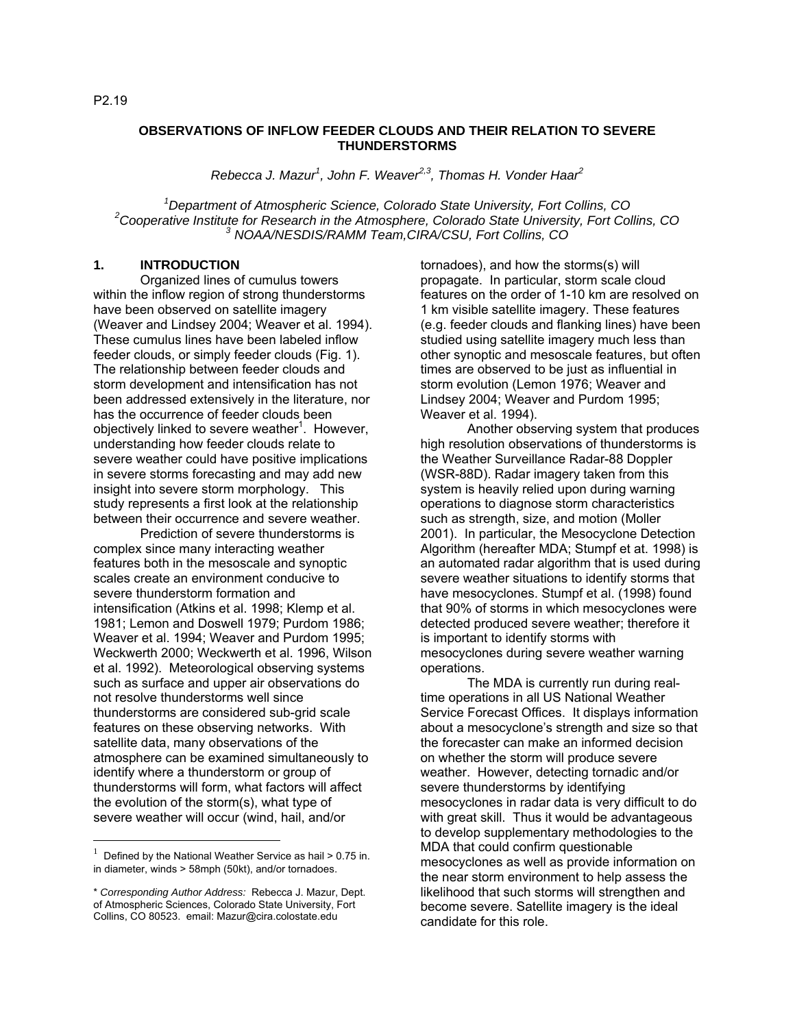### **OBSERVATIONS OF INFLOW FEEDER CLOUDS AND THEIR RELATION TO SEVERE THUNDERSTORMS**

*Rebecca J. Mazur<sup>1</sup> , John F. Weaver2,3, Thomas H. Vonder Haar2* 

<sup>1</sup> Department of Atmospheric Science, Colorado State University, Fort Collins, CO<br><sup>2</sup> Cooperative Institute for Benegrab in the Atmosphere, Colorado State University, Fort Co *Cooperative Institute for Research in the Atmosphere, Colorado State University, Fort Collins, CO 3 NOAA/NESDIS/RAMM Team,CIRA/CSU, Fort Collins, CO* 

## **1. INTRODUCTION**

 Organized lines of cumulus towers within the inflow region of strong thunderstorms have been observed on satellite imagery (Weaver and Lindsey 2004; Weaver et al. 1994). These cumulus lines have been labeled inflow feeder clouds, or simply feeder clouds (Fig. 1). The relationship between feeder clouds and storm development and intensification has not been addressed extensively in the literature, nor has the occurrence of feeder clouds been objectively linked to severe weather<sup>1</sup>. However, understanding how feeder clouds relate to severe weather could have positive implications in severe storms forecasting and may add new insight into severe storm morphology. This study represents a first look at the relationship between their occurrence and severe weather.

 Prediction of severe thunderstorms is complex since many interacting weather features both in the mesoscale and synoptic scales create an environment conducive to severe thunderstorm formation and intensification (Atkins et al. 1998; Klemp et al. 1981; Lemon and Doswell 1979; Purdom 1986; Weaver et al. 1994; Weaver and Purdom 1995; Weckwerth 2000; Weckwerth et al. 1996, Wilson et al. 1992). Meteorological observing systems such as surface and upper air observations do not resolve thunderstorms well since thunderstorms are considered sub-grid scale features on these observing networks. With satellite data, many observations of the atmosphere can be examined simultaneously to identify where a thunderstorm or group of thunderstorms will form, what factors will affect the evolution of the storm(s), what type of severe weather will occur (wind, hail, and/or

 $\overline{a}$ 

tornadoes), and how the storms(s) will propagate. In particular, storm scale cloud features on the order of 1-10 km are resolved on 1 km visible satellite imagery. These features (e.g. feeder clouds and flanking lines) have been studied using satellite imagery much less than other synoptic and mesoscale features, but often times are observed to be just as influential in storm evolution (Lemon 1976; Weaver and Lindsey 2004; Weaver and Purdom 1995; Weaver et al. 1994).

Another observing system that produces high resolution observations of thunderstorms is the Weather Surveillance Radar-88 Doppler (WSR-88D). Radar imagery taken from this system is heavily relied upon during warning operations to diagnose storm characteristics such as strength, size, and motion (Moller 2001). In particular, the Mesocyclone Detection Algorithm (hereafter MDA; Stumpf et at. 1998) is an automated radar algorithm that is used during severe weather situations to identify storms that have mesocyclones. Stumpf et al. (1998) found that 90% of storms in which mesocyclones were detected produced severe weather; therefore it is important to identify storms with mesocyclones during severe weather warning operations.

The MDA is currently run during realtime operations in all US National Weather Service Forecast Offices. It displays information about a mesocyclone's strength and size so that the forecaster can make an informed decision on whether the storm will produce severe weather. However, detecting tornadic and/or severe thunderstorms by identifying mesocyclones in radar data is very difficult to do with great skill. Thus it would be advantageous to develop supplementary methodologies to the MDA that could confirm questionable mesocyclones as well as provide information on the near storm environment to help assess the likelihood that such storms will strengthen and become severe. Satellite imagery is the ideal candidate for this role.

Defined by the National Weather Service as hail > 0.75 in. in diameter, winds > 58mph (50kt), and/or tornadoes.

<sup>\*</sup> *Corresponding Author Address:* Rebecca J. Mazur, Dept. of Atmospheric Sciences, Colorado State University, Fort Collins, CO 80523. email: Mazur@cira.colostate.edu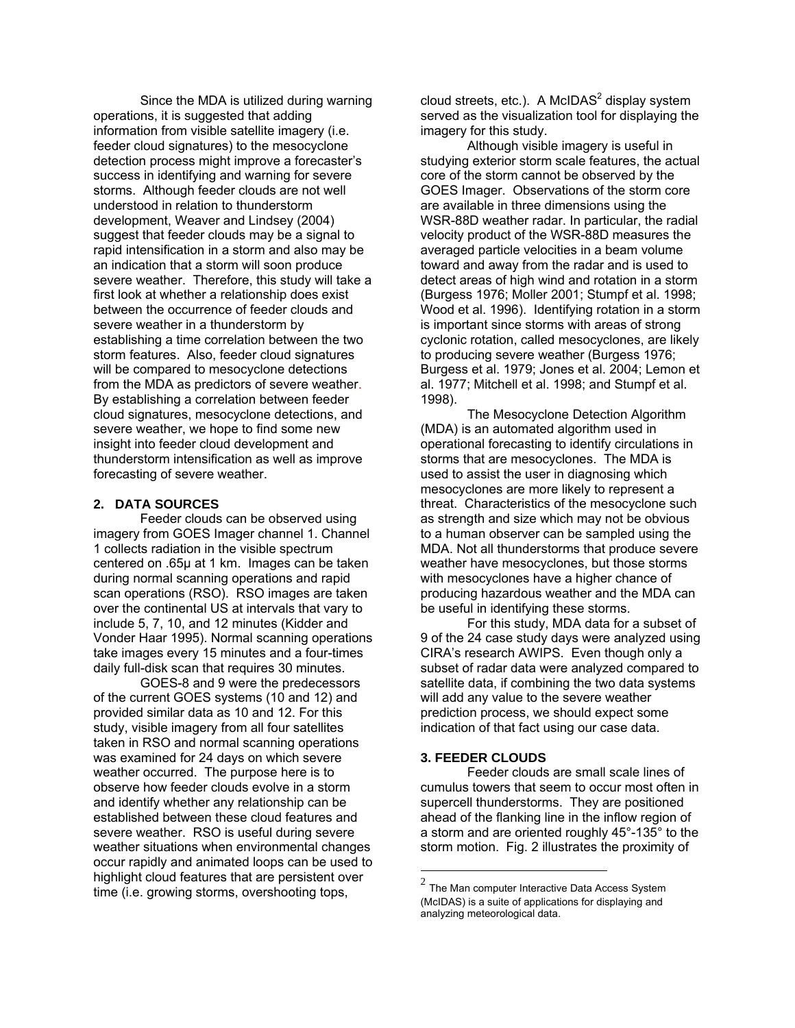Since the MDA is utilized during warning operations, it is suggested that adding information from visible satellite imagery (i.e. feeder cloud signatures) to the mesocyclone detection process might improve a forecaster's success in identifying and warning for severe storms. Although feeder clouds are not well understood in relation to thunderstorm development, Weaver and Lindsey (2004) suggest that feeder clouds may be a signal to rapid intensification in a storm and also may be an indication that a storm will soon produce severe weather. Therefore, this study will take a first look at whether a relationship does exist between the occurrence of feeder clouds and severe weather in a thunderstorm by establishing a time correlation between the two storm features. Also, feeder cloud signatures will be compared to mesocyclone detections from the MDA as predictors of severe weather. By establishing a correlation between feeder cloud signatures, mesocyclone detections, and severe weather, we hope to find some new insight into feeder cloud development and thunderstorm intensification as well as improve forecasting of severe weather.

### **2. DATA SOURCES**

 Feeder clouds can be observed using imagery from GOES Imager channel 1. Channel 1 collects radiation in the visible spectrum centered on .65µ at 1 km. Images can be taken during normal scanning operations and rapid scan operations (RSO). RSO images are taken over the continental US at intervals that vary to include 5, 7, 10, and 12 minutes (Kidder and Vonder Haar 1995). Normal scanning operations take images every 15 minutes and a four-times daily full-disk scan that requires 30 minutes.

 GOES-8 and 9 were the predecessors of the current GOES systems (10 and 12) and provided similar data as 10 and 12. For this study, visible imagery from all four satellites taken in RSO and normal scanning operations was examined for 24 days on which severe weather occurred. The purpose here is to observe how feeder clouds evolve in a storm and identify whether any relationship can be established between these cloud features and severe weather. RSO is useful during severe weather situations when environmental changes occur rapidly and animated loops can be used to highlight cloud features that are persistent over time (i.e. growing storms, overshooting tops,

cloud streets, etc.). A McIDAS<sup>2</sup> display system served as the visualization tool for displaying the imagery for this study.

 Although visible imagery is useful in studying exterior storm scale features, the actual core of the storm cannot be observed by the GOES Imager. Observations of the storm core are available in three dimensions using the WSR-88D weather radar. In particular, the radial velocity product of the WSR-88D measures the averaged particle velocities in a beam volume toward and away from the radar and is used to detect areas of high wind and rotation in a storm (Burgess 1976; Moller 2001; Stumpf et al. 1998; Wood et al. 1996). Identifying rotation in a storm is important since storms with areas of strong cyclonic rotation, called mesocyclones, are likely to producing severe weather (Burgess 1976; Burgess et al. 1979; Jones et al. 2004; Lemon et al. 1977; Mitchell et al. 1998; and Stumpf et al. 1998).

 The Mesocyclone Detection Algorithm (MDA) is an automated algorithm used in operational forecasting to identify circulations in storms that are mesocyclones. The MDA is used to assist the user in diagnosing which mesocyclones are more likely to represent a threat. Characteristics of the mesocyclone such as strength and size which may not be obvious to a human observer can be sampled using the MDA. Not all thunderstorms that produce severe weather have mesocyclones, but those storms with mesocyclones have a higher chance of producing hazardous weather and the MDA can be useful in identifying these storms.

 For this study, MDA data for a subset of 9 of the 24 case study days were analyzed using CIRA's research AWIPS. Even though only a subset of radar data were analyzed compared to satellite data, if combining the two data systems will add any value to the severe weather prediction process, we should expect some indication of that fact using our case data.

#### **3. FEEDER CLOUDS**

 $\overline{a}$ 

Feeder clouds are small scale lines of cumulus towers that seem to occur most often in supercell thunderstorms. They are positioned ahead of the flanking line in the inflow region of a storm and are oriented roughly 45°-135° to the storm motion. Fig. 2 illustrates the proximity of

 $^2$  The Man computer Interactive Data Access System (McIDAS) is a suite of applications for displaying and analyzing meteorological data.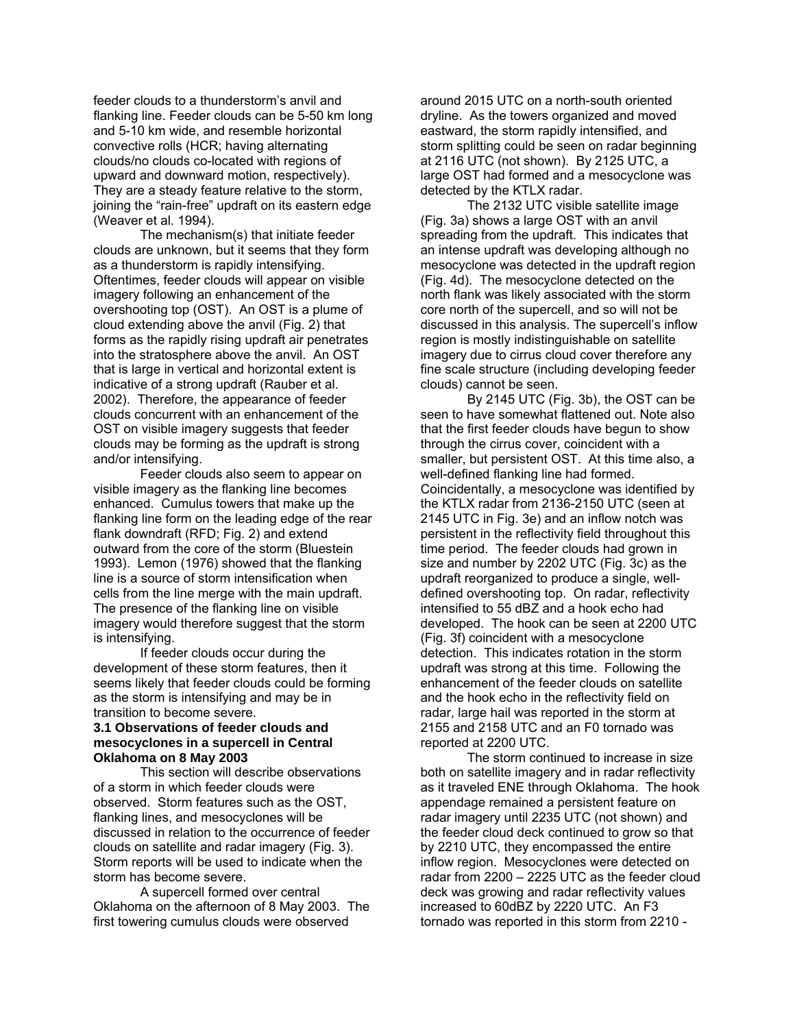feeder clouds to a thunderstorm's anvil and flanking line. Feeder clouds can be 5-50 km long and 5-10 km wide, and resemble horizontal convective rolls (HCR; having alternating clouds/no clouds co-located with regions of upward and downward motion, respectively). They are a steady feature relative to the storm, joining the "rain-free" updraft on its eastern edge (Weaver et al. 1994).

The mechanism(s) that initiate feeder clouds are unknown, but it seems that they form as a thunderstorm is rapidly intensifying. Oftentimes, feeder clouds will appear on visible imagery following an enhancement of the overshooting top (OST). An OST is a plume of cloud extending above the anvil (Fig. 2) that forms as the rapidly rising updraft air penetrates into the stratosphere above the anvil. An OST that is large in vertical and horizontal extent is indicative of a strong updraft (Rauber et al. 2002). Therefore, the appearance of feeder clouds concurrent with an enhancement of the OST on visible imagery suggests that feeder clouds may be forming as the updraft is strong and/or intensifying.

 Feeder clouds also seem to appear on visible imagery as the flanking line becomes enhanced. Cumulus towers that make up the flanking line form on the leading edge of the rear flank downdraft (RFD; Fig. 2) and extend outward from the core of the storm (Bluestein 1993). Lemon (1976) showed that the flanking line is a source of storm intensification when cells from the line merge with the main updraft. The presence of the flanking line on visible imagery would therefore suggest that the storm is intensifying.

 If feeder clouds occur during the development of these storm features, then it seems likely that feeder clouds could be forming as the storm is intensifying and may be in transition to become severe.

### **3.1 Observations of feeder clouds and mesocyclones in a supercell in Central Oklahoma on 8 May 2003**

This section will describe observations of a storm in which feeder clouds were observed. Storm features such as the OST, flanking lines, and mesocyclones will be discussed in relation to the occurrence of feeder clouds on satellite and radar imagery (Fig. 3). Storm reports will be used to indicate when the storm has become severe.

 A supercell formed over central Oklahoma on the afternoon of 8 May 2003. The first towering cumulus clouds were observed

around 2015 UTC on a north-south oriented dryline. As the towers organized and moved eastward, the storm rapidly intensified, and storm splitting could be seen on radar beginning at 2116 UTC (not shown). By 2125 UTC, a large OST had formed and a mesocyclone was detected by the KTLX radar.

The 2132 UTC visible satellite image (Fig. 3a) shows a large OST with an anvil spreading from the updraft. This indicates that an intense updraft was developing although no mesocyclone was detected in the updraft region (Fig. 4d). The mesocyclone detected on the north flank was likely associated with the storm core north of the supercell, and so will not be discussed in this analysis. The supercell's inflow region is mostly indistinguishable on satellite imagery due to cirrus cloud cover therefore any fine scale structure (including developing feeder clouds) cannot be seen.

 By 2145 UTC (Fig. 3b), the OST can be seen to have somewhat flattened out. Note also that the first feeder clouds have begun to show through the cirrus cover, coincident with a smaller, but persistent OST. At this time also, a well-defined flanking line had formed. Coincidentally, a mesocyclone was identified by the KTLX radar from 2136-2150 UTC (seen at 2145 UTC in Fig. 3e) and an inflow notch was persistent in the reflectivity field throughout this time period. The feeder clouds had grown in size and number by 2202 UTC (Fig. 3c) as the updraft reorganized to produce a single, welldefined overshooting top. On radar, reflectivity intensified to 55 dBZ and a hook echo had developed. The hook can be seen at 2200 UTC (Fig. 3f) coincident with a mesocyclone detection. This indicates rotation in the storm updraft was strong at this time. Following the enhancement of the feeder clouds on satellite and the hook echo in the reflectivity field on radar, large hail was reported in the storm at 2155 and 2158 UTC and an F0 tornado was reported at 2200 UTC.

 The storm continued to increase in size both on satellite imagery and in radar reflectivity as it traveled ENE through Oklahoma. The hook appendage remained a persistent feature on radar imagery until 2235 UTC (not shown) and the feeder cloud deck continued to grow so that by 2210 UTC, they encompassed the entire inflow region. Mesocyclones were detected on radar from 2200 – 2225 UTC as the feeder cloud deck was growing and radar reflectivity values increased to 60dBZ by 2220 UTC. An F3 tornado was reported in this storm from 2210 -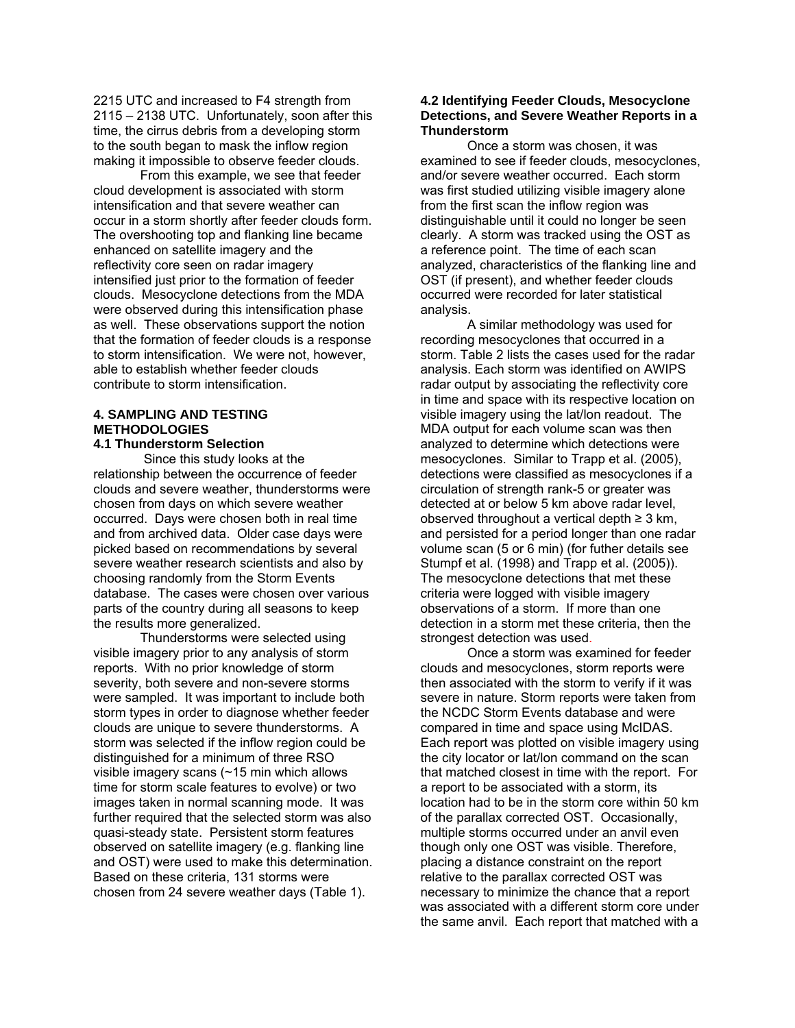2215 UTC and increased to F4 strength from 2115 – 2138 UTC. Unfortunately, soon after this time, the cirrus debris from a developing storm to the south began to mask the inflow region making it impossible to observe feeder clouds.

 From this example, we see that feeder cloud development is associated with storm intensification and that severe weather can occur in a storm shortly after feeder clouds form. The overshooting top and flanking line became enhanced on satellite imagery and the reflectivity core seen on radar imagery intensified just prior to the formation of feeder clouds. Mesocyclone detections from the MDA were observed during this intensification phase as well. These observations support the notion that the formation of feeder clouds is a response to storm intensification. We were not, however, able to establish whether feeder clouds contribute to storm intensification.

#### **4. SAMPLING AND TESTING METHODOLOGIES 4.1 Thunderstorm Selection**

 Since this study looks at the relationship between the occurrence of feeder clouds and severe weather, thunderstorms were chosen from days on which severe weather occurred. Days were chosen both in real time and from archived data. Older case days were picked based on recommendations by several severe weather research scientists and also by choosing randomly from the Storm Events database. The cases were chosen over various parts of the country during all seasons to keep the results more generalized.

Thunderstorms were selected using visible imagery prior to any analysis of storm reports. With no prior knowledge of storm severity, both severe and non-severe storms were sampled. It was important to include both storm types in order to diagnose whether feeder clouds are unique to severe thunderstorms. A storm was selected if the inflow region could be distinguished for a minimum of three RSO visible imagery scans (~15 min which allows time for storm scale features to evolve) or two images taken in normal scanning mode. It was further required that the selected storm was also quasi-steady state. Persistent storm features observed on satellite imagery (e.g. flanking line and OST) were used to make this determination. Based on these criteria, 131 storms were chosen from 24 severe weather days (Table 1).

## **4.2 Identifying Feeder Clouds, Mesocyclone Detections, and Severe Weather Reports in a Thunderstorm**

 Once a storm was chosen, it was examined to see if feeder clouds, mesocyclones, and/or severe weather occurred. Each storm was first studied utilizing visible imagery alone from the first scan the inflow region was distinguishable until it could no longer be seen clearly. A storm was tracked using the OST as a reference point. The time of each scan analyzed, characteristics of the flanking line and OST (if present), and whether feeder clouds occurred were recorded for later statistical analysis.

 A similar methodology was used for recording mesocyclones that occurred in a storm. Table 2 lists the cases used for the radar analysis. Each storm was identified on AWIPS radar output by associating the reflectivity core in time and space with its respective location on visible imagery using the lat/lon readout. The MDA output for each volume scan was then analyzed to determine which detections were mesocyclones. Similar to Trapp et al. (2005). detections were classified as mesocyclones if a circulation of strength rank-5 or greater was detected at or below 5 km above radar level, observed throughout a vertical depth ≥ 3 km, and persisted for a period longer than one radar volume scan (5 or 6 min) (for futher details see Stumpf et al. (1998) and Trapp et al. (2005)). The mesocyclone detections that met these criteria were logged with visible imagery observations of a storm. If more than one detection in a storm met these criteria, then the strongest detection was used.

 Once a storm was examined for feeder clouds and mesocyclones, storm reports were then associated with the storm to verify if it was severe in nature. Storm reports were taken from the NCDC Storm Events database and were compared in time and space using McIDAS. Each report was plotted on visible imagery using the city locator or lat/lon command on the scan that matched closest in time with the report. For a report to be associated with a storm, its location had to be in the storm core within 50 km of the parallax corrected OST. Occasionally, multiple storms occurred under an anvil even though only one OST was visible. Therefore, placing a distance constraint on the report relative to the parallax corrected OST was necessary to minimize the chance that a report was associated with a different storm core under the same anvil. Each report that matched with a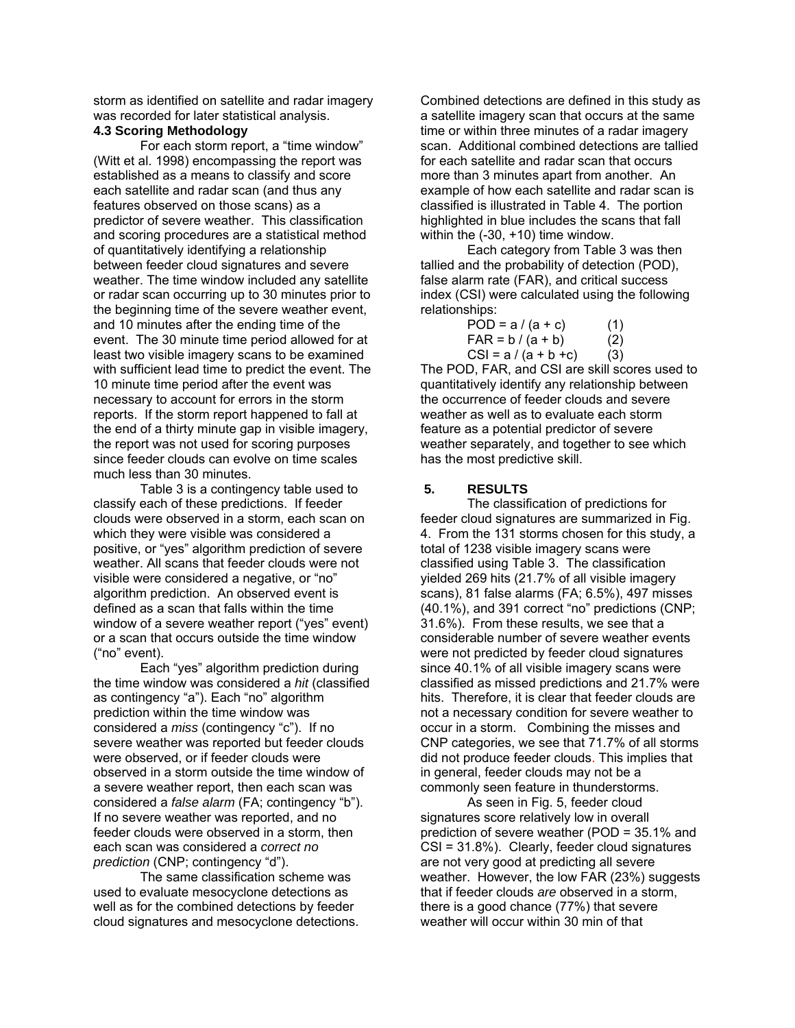storm as identified on satellite and radar imagery was recorded for later statistical analysis.

## **4.3 Scoring Methodology**

For each storm report, a "time window" (Witt et al. 1998) encompassing the report was established as a means to classify and score each satellite and radar scan (and thus any features observed on those scans) as a predictor of severe weather. This classification and scoring procedures are a statistical method of quantitatively identifying a relationship between feeder cloud signatures and severe weather. The time window included any satellite or radar scan occurring up to 30 minutes prior to the beginning time of the severe weather event, and 10 minutes after the ending time of the event. The 30 minute time period allowed for at least two visible imagery scans to be examined with sufficient lead time to predict the event. The 10 minute time period after the event was necessary to account for errors in the storm reports. If the storm report happened to fall at the end of a thirty minute gap in visible imagery, the report was not used for scoring purposes since feeder clouds can evolve on time scales much less than 30 minutes.

Table 3 is a contingency table used to classify each of these predictions. If feeder clouds were observed in a storm, each scan on which they were visible was considered a positive, or "yes" algorithm prediction of severe weather. All scans that feeder clouds were not visible were considered a negative, or "no" algorithm prediction. An observed event is defined as a scan that falls within the time window of a severe weather report ("yes" event) or a scan that occurs outside the time window ("no" event).

Each "yes" algorithm prediction during the time window was considered a *hit* (classified as contingency "a"). Each "no" algorithm prediction within the time window was considered a *miss* (contingency "c"). If no severe weather was reported but feeder clouds were observed, or if feeder clouds were observed in a storm outside the time window of a severe weather report, then each scan was considered a *false alarm* (FA; contingency "b"). If no severe weather was reported, and no feeder clouds were observed in a storm, then each scan was considered a *correct no prediction* (CNP; contingency "d").

The same classification scheme was used to evaluate mesocyclone detections as well as for the combined detections by feeder cloud signatures and mesocyclone detections.

Combined detections are defined in this study as a satellite imagery scan that occurs at the same time or within three minutes of a radar imagery scan. Additional combined detections are tallied for each satellite and radar scan that occurs more than 3 minutes apart from another. An example of how each satellite and radar scan is classified is illustrated in Table 4. The portion highlighted in blue includes the scans that fall within the (-30, +10) time window.

Each category from Table 3 was then tallied and the probability of detection (POD), false alarm rate (FAR), and critical success index (CSI) were calculated using the following relationships:

| $POD = a / (a + c)$     | (1) |
|-------------------------|-----|
| $FAR = b / (a + b)$     | (2) |
| $CSI = a / (a + b + c)$ | (3) |
| --------                |     |

The POD, FAR, and CSI are skill scores used to quantitatively identify any relationship between the occurrence of feeder clouds and severe weather as well as to evaluate each storm feature as a potential predictor of severe weather separately, and together to see which has the most predictive skill.

## **5. RESULTS**

 The classification of predictions for feeder cloud signatures are summarized in Fig. 4. From the 131 storms chosen for this study, a total of 1238 visible imagery scans were classified using Table 3. The classification yielded 269 hits (21.7% of all visible imagery scans), 81 false alarms (FA; 6.5%), 497 misses (40.1%), and 391 correct "no" predictions (CNP; 31.6%). From these results, we see that a considerable number of severe weather events were not predicted by feeder cloud signatures since 40.1% of all visible imagery scans were classified as missed predictions and 21.7% were hits. Therefore, it is clear that feeder clouds are not a necessary condition for severe weather to occur in a storm. Combining the misses and CNP categories, we see that 71.7% of all storms did not produce feeder clouds. This implies that in general, feeder clouds may not be a commonly seen feature in thunderstorms.

 As seen in Fig. 5, feeder cloud signatures score relatively low in overall prediction of severe weather (POD = 35.1% and CSI = 31.8%). Clearly, feeder cloud signatures are not very good at predicting all severe weather. However, the low FAR (23%) suggests that if feeder clouds *are* observed in a storm, there is a good chance (77%) that severe weather will occur within 30 min of that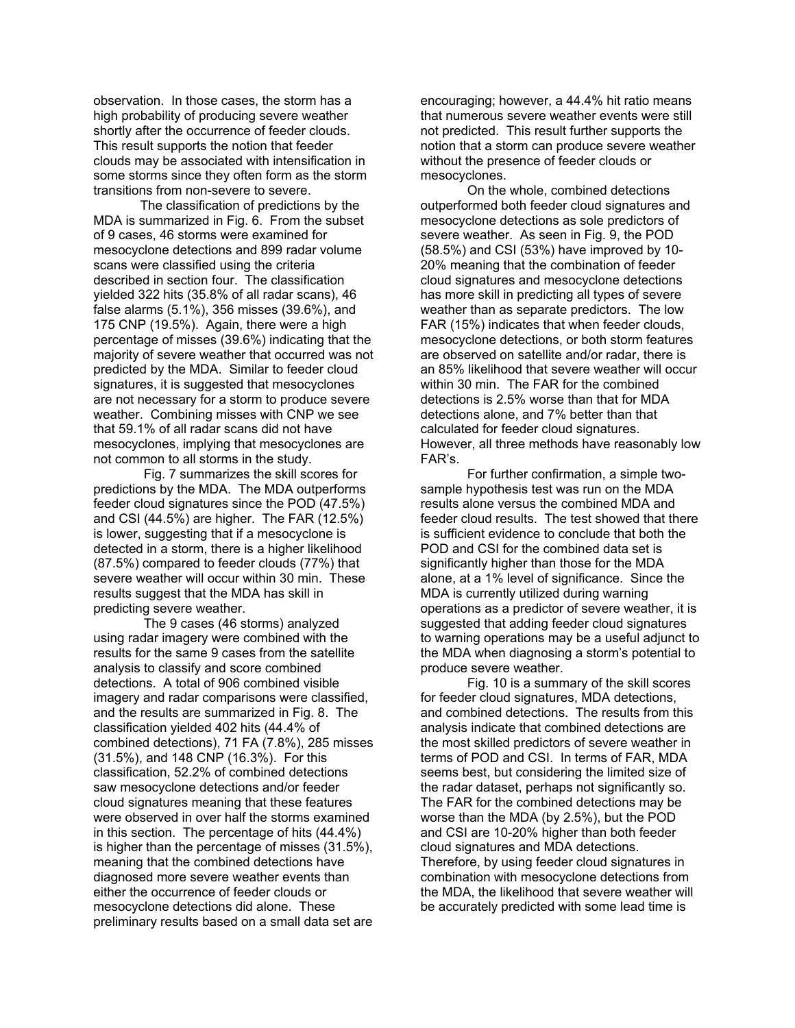observation. In those cases, the storm has a high probability of producing severe weather shortly after the occurrence of feeder clouds. This result supports the notion that feeder clouds may be associated with intensification in some storms since they often form as the storm transitions from non-severe to severe.

 The classification of predictions by the MDA is summarized in Fig. 6. From the subset of 9 cases, 46 storms were examined for mesocyclone detections and 899 radar volume scans were classified using the criteria described in section four. The classification yielded 322 hits (35.8% of all radar scans), 46 false alarms (5.1%), 356 misses (39.6%), and 175 CNP (19.5%). Again, there were a high percentage of misses (39.6%) indicating that the majority of severe weather that occurred was not predicted by the MDA. Similar to feeder cloud signatures, it is suggested that mesocyclones are not necessary for a storm to produce severe weather. Combining misses with CNP we see that 59.1% of all radar scans did not have mesocyclones, implying that mesocyclones are not common to all storms in the study.

 Fig. 7 summarizes the skill scores for predictions by the MDA. The MDA outperforms feeder cloud signatures since the POD (47.5%) and CSI (44.5%) are higher. The FAR (12.5%) is lower, suggesting that if a mesocyclone is detected in a storm, there is a higher likelihood (87.5%) compared to feeder clouds (77%) that severe weather will occur within 30 min. These results suggest that the MDA has skill in predicting severe weather.

 The 9 cases (46 storms) analyzed using radar imagery were combined with the results for the same 9 cases from the satellite analysis to classify and score combined detections. A total of 906 combined visible imagery and radar comparisons were classified, and the results are summarized in Fig. 8. The classification yielded 402 hits (44.4% of combined detections), 71 FA (7.8%), 285 misses (31.5%), and 148 CNP (16.3%). For this classification, 52.2% of combined detections saw mesocyclone detections and/or feeder cloud signatures meaning that these features were observed in over half the storms examined in this section. The percentage of hits (44.4%) is higher than the percentage of misses (31.5%), meaning that the combined detections have diagnosed more severe weather events than either the occurrence of feeder clouds or mesocyclone detections did alone. These preliminary results based on a small data set are

encouraging; however, a 44.4% hit ratio means that numerous severe weather events were still not predicted. This result further supports the notion that a storm can produce severe weather without the presence of feeder clouds or mesocyclones.

 On the whole, combined detections outperformed both feeder cloud signatures and mesocyclone detections as sole predictors of severe weather. As seen in Fig. 9, the POD (58.5%) and CSI (53%) have improved by 10- 20% meaning that the combination of feeder cloud signatures and mesocyclone detections has more skill in predicting all types of severe weather than as separate predictors. The low FAR (15%) indicates that when feeder clouds, mesocyclone detections, or both storm features are observed on satellite and/or radar, there is an 85% likelihood that severe weather will occur within 30 min. The FAR for the combined detections is 2.5% worse than that for MDA detections alone, and 7% better than that calculated for feeder cloud signatures. However, all three methods have reasonably low FAR's.

For further confirmation, a simple twosample hypothesis test was run on the MDA results alone versus the combined MDA and feeder cloud results. The test showed that there is sufficient evidence to conclude that both the POD and CSI for the combined data set is significantly higher than those for the MDA alone, at a 1% level of significance. Since the MDA is currently utilized during warning operations as a predictor of severe weather, it is suggested that adding feeder cloud signatures to warning operations may be a useful adjunct to the MDA when diagnosing a storm's potential to produce severe weather.

 Fig. 10 is a summary of the skill scores for feeder cloud signatures, MDA detections, and combined detections. The results from this analysis indicate that combined detections are the most skilled predictors of severe weather in terms of POD and CSI. In terms of FAR, MDA seems best, but considering the limited size of the radar dataset, perhaps not significantly so. The FAR for the combined detections may be worse than the MDA (by 2.5%), but the POD and CSI are 10-20% higher than both feeder cloud signatures and MDA detections. Therefore, by using feeder cloud signatures in combination with mesocyclone detections from the MDA, the likelihood that severe weather will be accurately predicted with some lead time is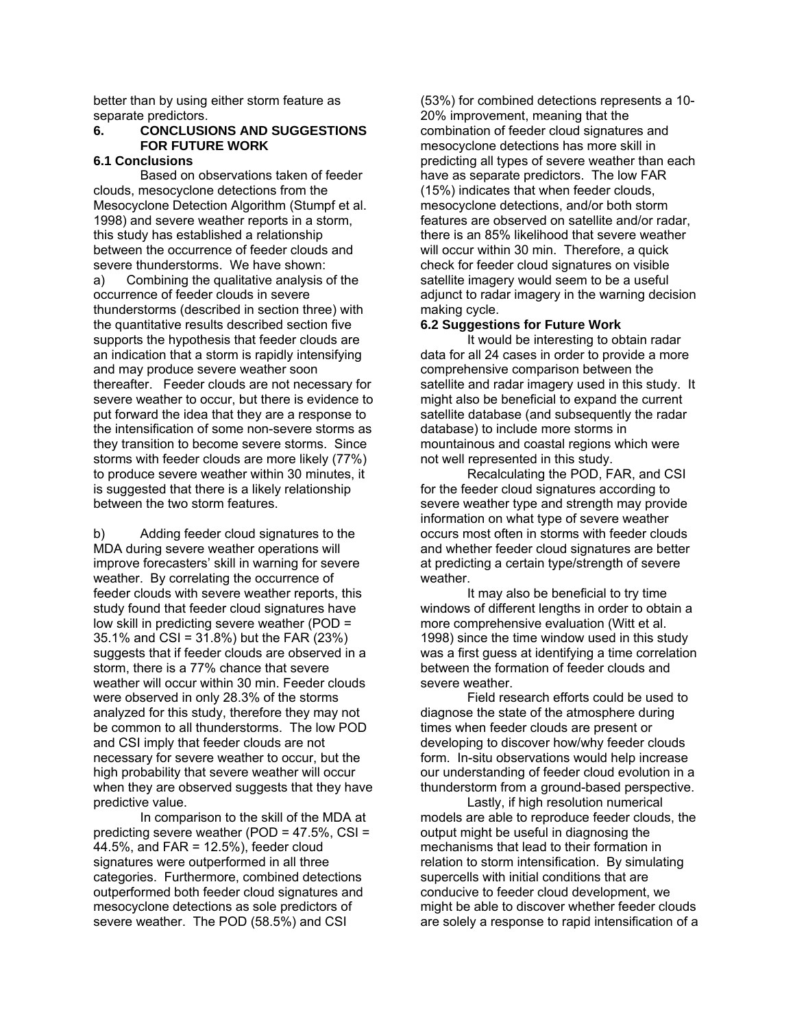better than by using either storm feature as separate predictors.

# **6. CONCLUSIONS AND SUGGESTIONS FOR FUTURE WORK**

# **6.1 Conclusions**

Based on observations taken of feeder clouds, mesocyclone detections from the Mesocyclone Detection Algorithm (Stumpf et al. 1998) and severe weather reports in a storm, this study has established a relationship between the occurrence of feeder clouds and severe thunderstorms. We have shown: a) Combining the qualitative analysis of the occurrence of feeder clouds in severe thunderstorms (described in section three) with the quantitative results described section five supports the hypothesis that feeder clouds are an indication that a storm is rapidly intensifying and may produce severe weather soon thereafter. Feeder clouds are not necessary for severe weather to occur, but there is evidence to put forward the idea that they are a response to the intensification of some non-severe storms as they transition to become severe storms. Since storms with feeder clouds are more likely (77%) to produce severe weather within 30 minutes, it is suggested that there is a likely relationship between the two storm features.

b) Adding feeder cloud signatures to the MDA during severe weather operations will improve forecasters' skill in warning for severe weather. By correlating the occurrence of feeder clouds with severe weather reports, this study found that feeder cloud signatures have low skill in predicting severe weather (POD = 35.1% and CSI = 31.8%) but the FAR (23%) suggests that if feeder clouds are observed in a storm, there is a 77% chance that severe weather will occur within 30 min. Feeder clouds were observed in only 28.3% of the storms analyzed for this study, therefore they may not be common to all thunderstorms. The low POD and CSI imply that feeder clouds are not necessary for severe weather to occur, but the high probability that severe weather will occur when they are observed suggests that they have predictive value.

 In comparison to the skill of the MDA at predicting severe weather (POD = 47.5%, CSI = 44.5%, and FAR = 12.5%), feeder cloud signatures were outperformed in all three categories. Furthermore, combined detections outperformed both feeder cloud signatures and mesocyclone detections as sole predictors of severe weather. The POD (58.5%) and CSI

(53%) for combined detections represents a 10- 20% improvement, meaning that the combination of feeder cloud signatures and mesocyclone detections has more skill in predicting all types of severe weather than each have as separate predictors. The low FAR (15%) indicates that when feeder clouds, mesocyclone detections, and/or both storm features are observed on satellite and/or radar, there is an 85% likelihood that severe weather will occur within 30 min. Therefore, a quick check for feeder cloud signatures on visible satellite imagery would seem to be a useful adjunct to radar imagery in the warning decision making cycle.

#### **6.2 Suggestions for Future Work**

 It would be interesting to obtain radar data for all 24 cases in order to provide a more comprehensive comparison between the satellite and radar imagery used in this study. It might also be beneficial to expand the current satellite database (and subsequently the radar database) to include more storms in mountainous and coastal regions which were not well represented in this study.

 Recalculating the POD, FAR, and CSI for the feeder cloud signatures according to severe weather type and strength may provide information on what type of severe weather occurs most often in storms with feeder clouds and whether feeder cloud signatures are better at predicting a certain type/strength of severe weather.

 It may also be beneficial to try time windows of different lengths in order to obtain a more comprehensive evaluation (Witt et al. 1998) since the time window used in this study was a first guess at identifying a time correlation between the formation of feeder clouds and severe weather.

 Field research efforts could be used to diagnose the state of the atmosphere during times when feeder clouds are present or developing to discover how/why feeder clouds form. In-situ observations would help increase our understanding of feeder cloud evolution in a thunderstorm from a ground-based perspective.

 Lastly, if high resolution numerical models are able to reproduce feeder clouds, the output might be useful in diagnosing the mechanisms that lead to their formation in relation to storm intensification. By simulating supercells with initial conditions that are conducive to feeder cloud development, we might be able to discover whether feeder clouds are solely a response to rapid intensification of a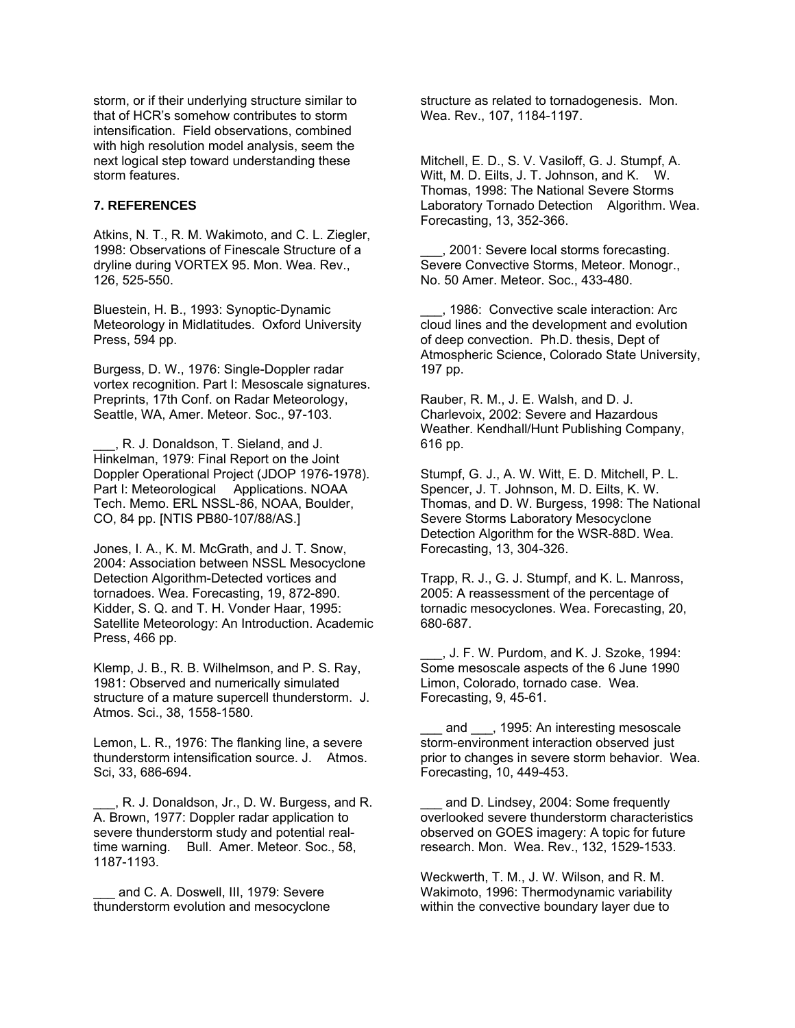storm, or if their underlying structure similar to that of HCR's somehow contributes to storm intensification. Field observations, combined with high resolution model analysis, seem the next logical step toward understanding these storm features.

## **7. REFERENCES**

Atkins, N. T., R. M. Wakimoto, and C. L. Ziegler, 1998: Observations of Finescale Structure of a dryline during VORTEX 95. Mon. Wea. Rev., 126, 525-550.

Bluestein, H. B., 1993: Synoptic-Dynamic Meteorology in Midlatitudes. Oxford University Press, 594 pp.

Burgess, D. W., 1976: Single-Doppler radar vortex recognition. Part I: Mesoscale signatures. Preprints, 17th Conf. on Radar Meteorology, Seattle, WA, Amer. Meteor. Soc., 97-103.

R. J. Donaldson, T. Sieland, and J. Hinkelman, 1979: Final Report on the Joint Doppler Operational Project (JDOP 1976-1978). Part I: Meteorological Applications. NOAA Tech. Memo. ERL NSSL-86, NOAA, Boulder, CO, 84 pp. [NTIS PB80-107/88/AS.]

Jones, I. A., K. M. McGrath, and J. T. Snow, 2004: Association between NSSL Mesocyclone Detection Algorithm-Detected vortices and tornadoes. Wea. Forecasting, 19, 872-890. Kidder, S. Q. and T. H. Vonder Haar, 1995: Satellite Meteorology: An Introduction. Academic Press, 466 pp.

Klemp, J. B., R. B. Wilhelmson, and P. S. Ray, 1981: Observed and numerically simulated structure of a mature supercell thunderstorm. J. Atmos. Sci., 38, 1558-1580.

Lemon, L. R., 1976: The flanking line, a severe thunderstorm intensification source. J. Atmos. Sci, 33, 686-694.

R. J. Donaldson, Jr., D. W. Burgess, and R. A. Brown, 1977: Doppler radar application to severe thunderstorm study and potential realtime warning. Bull. Amer. Meteor. Soc., 58, 1187-1193.

and C. A. Doswell, III, 1979: Severe thunderstorm evolution and mesocyclone structure as related to tornadogenesis. Mon. Wea. Rev., 107, 1184-1197.

Mitchell, E. D., S. V. Vasiloff, G. J. Stumpf, A. Witt, M. D. Eilts, J. T. Johnson, and K. W. Thomas, 1998: The National Severe Storms Laboratory Tornado Detection Algorithm. Wea. Forecasting, 13, 352-366.

\_\_\_, 2001: Severe local storms forecasting. Severe Convective Storms, Meteor. Monogr., No. 50 Amer. Meteor. Soc., 433-480.

\_\_\_, 1986: Convective scale interaction: Arc cloud lines and the development and evolution of deep convection. Ph.D. thesis, Dept of Atmospheric Science, Colorado State University, 197 pp.

Rauber, R. M., J. E. Walsh, and D. J. Charlevoix, 2002: Severe and Hazardous Weather. Kendhall/Hunt Publishing Company, 616 pp.

Stumpf, G. J., A. W. Witt, E. D. Mitchell, P. L. Spencer, J. T. Johnson, M. D. Eilts, K. W. Thomas, and D. W. Burgess, 1998: The National Severe Storms Laboratory Mesocyclone Detection Algorithm for the WSR-88D. Wea. Forecasting, 13, 304-326.

Trapp, R. J., G. J. Stumpf, and K. L. Manross, 2005: A reassessment of the percentage of tornadic mesocyclones. Wea. Forecasting, 20, 680-687.

\_\_\_, J. F. W. Purdom, and K. J. Szoke, 1994: Some mesoscale aspects of the 6 June 1990 Limon, Colorado, tornado case. Wea. Forecasting, 9, 45-61.

and \_\_\_, 1995: An interesting mesoscale storm-environment interaction observed just prior to changes in severe storm behavior. Wea. Forecasting, 10, 449-453.

and D. Lindsey, 2004: Some frequently overlooked severe thunderstorm characteristics observed on GOES imagery: A topic for future research. Mon. Wea. Rev., 132, 1529-1533.

Weckwerth, T. M., J. W. Wilson, and R. M. Wakimoto, 1996: Thermodynamic variability within the convective boundary layer due to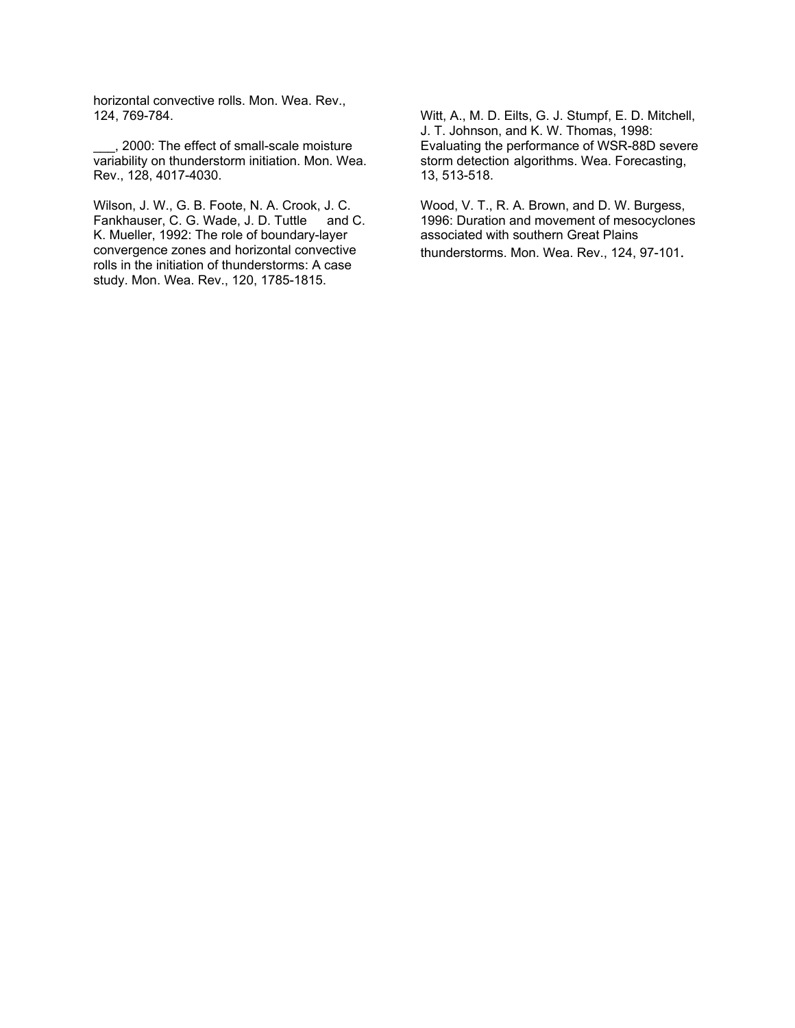horizontal convective rolls. Mon. Wea. Rev., 124, 769-784.

\_\_\_, 2000: The effect of small-scale moisture variability on thunderstorm initiation. Mon. Wea. Rev., 128, 4017-4030.

Wilson, J. W., G. B. Foote, N. A. Crook, J. C. Fankhauser, C. G. Wade, J. D. Tuttle and C. K. Mueller, 1992: The role of boundary-layer convergence zones and horizontal convective rolls in the initiation of thunderstorms: A case study. Mon. Wea. Rev., 120, 1785-1815.

Witt, A., M. D. Eilts, G. J. Stumpf, E. D. Mitchell, J. T. Johnson, and K. W. Thomas, 1998: Evaluating the performance of WSR-88D severe storm detection algorithms. Wea. Forecasting, 13, 513-518.

Wood, V. T., R. A. Brown, and D. W. Burgess, 1996: Duration and movement of mesocyclones associated with southern Great Plains thunderstorms. Mon. Wea. Rev., 124, 97-101.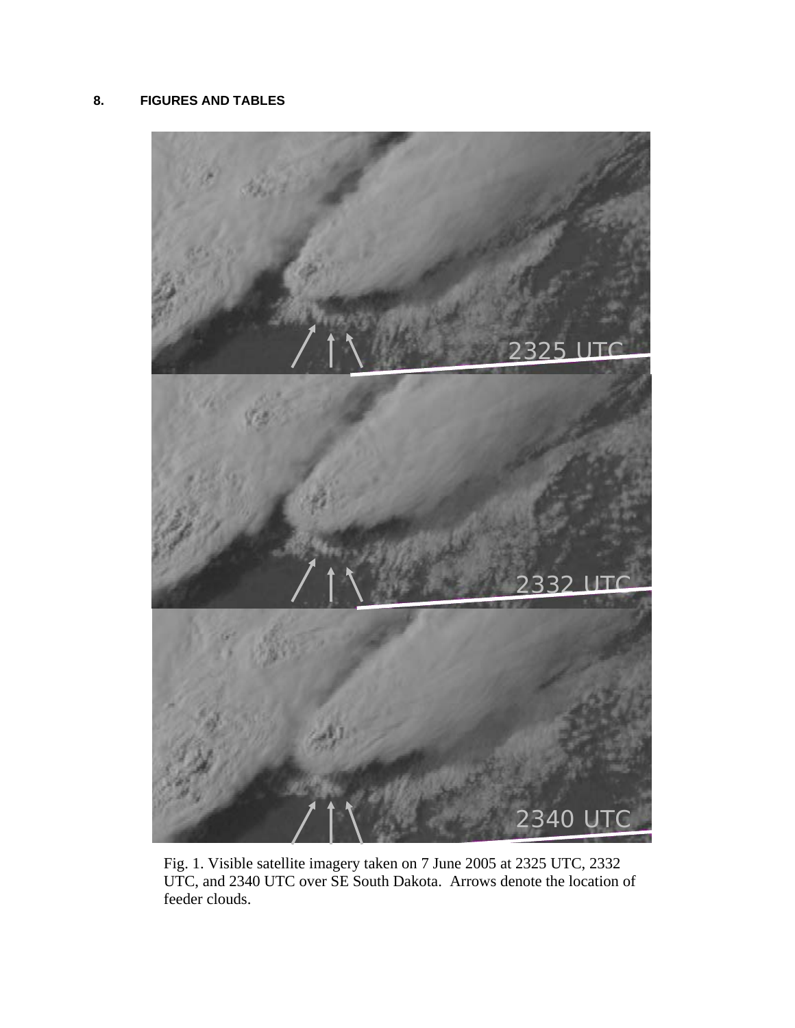# **8. FIGURES AND TABLES**



Fig. 1. Visible satellite imagery taken on 7 June 2005 at 2325 UTC, 2332 UTC, and 2340 UTC over SE South Dakota. Arrows denote the location of feeder clouds.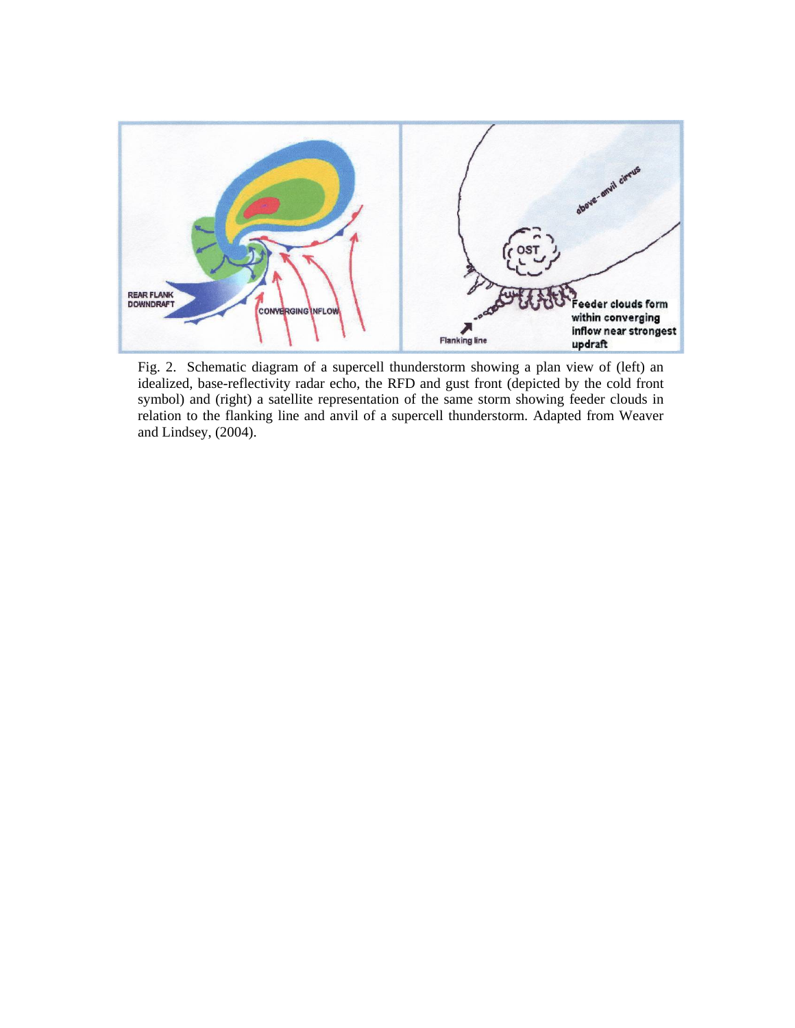

Fig. 2. Schematic diagram of a supercell thunderstorm showing a plan view of (left) an idealized, base-reflectivity radar echo, the RFD and gust front (depicted by the cold front symbol) and (right) a satellite representation of the same storm showing feeder clouds in relation to the flanking line and anvil of a supercell thunderstorm. Adapted from Weaver and Lindsey, (2004).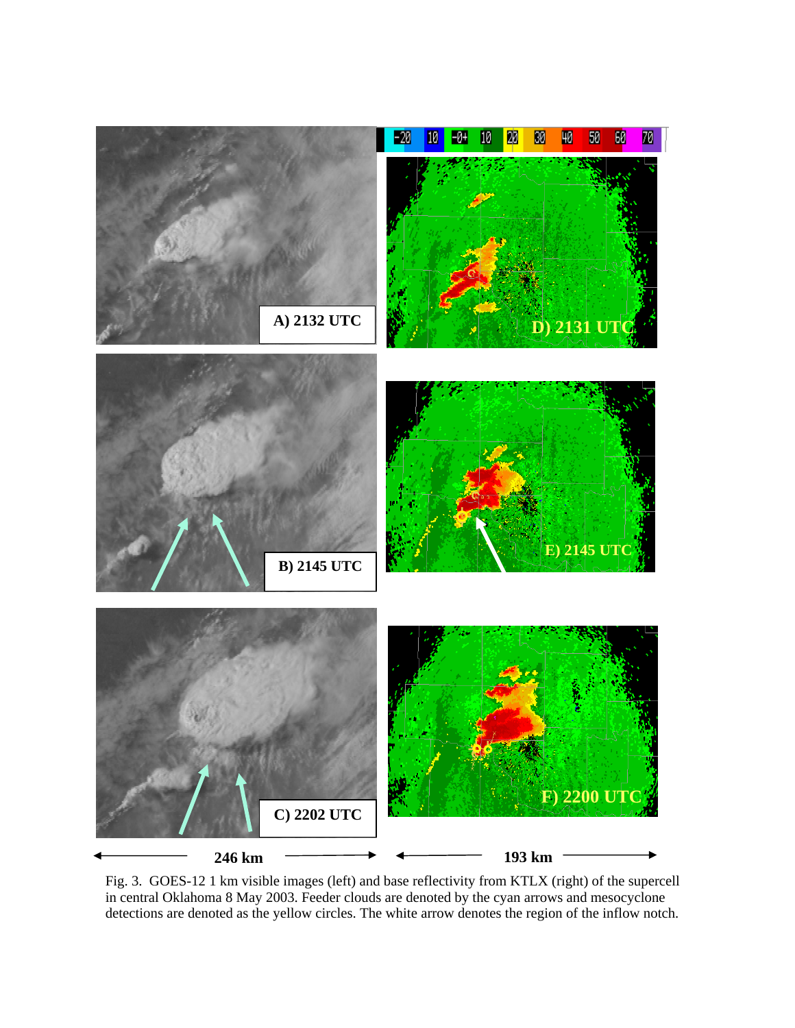

Fig. 3. GOES-12 1 km visible images (left) and base reflectivity from KTLX (right) of the supercell in central Oklahoma 8 May 2003. Feeder clouds are denoted by the cyan arrows and mesocyclone detections are denoted as the yellow circles. The white arrow denotes the region of the inflow notch.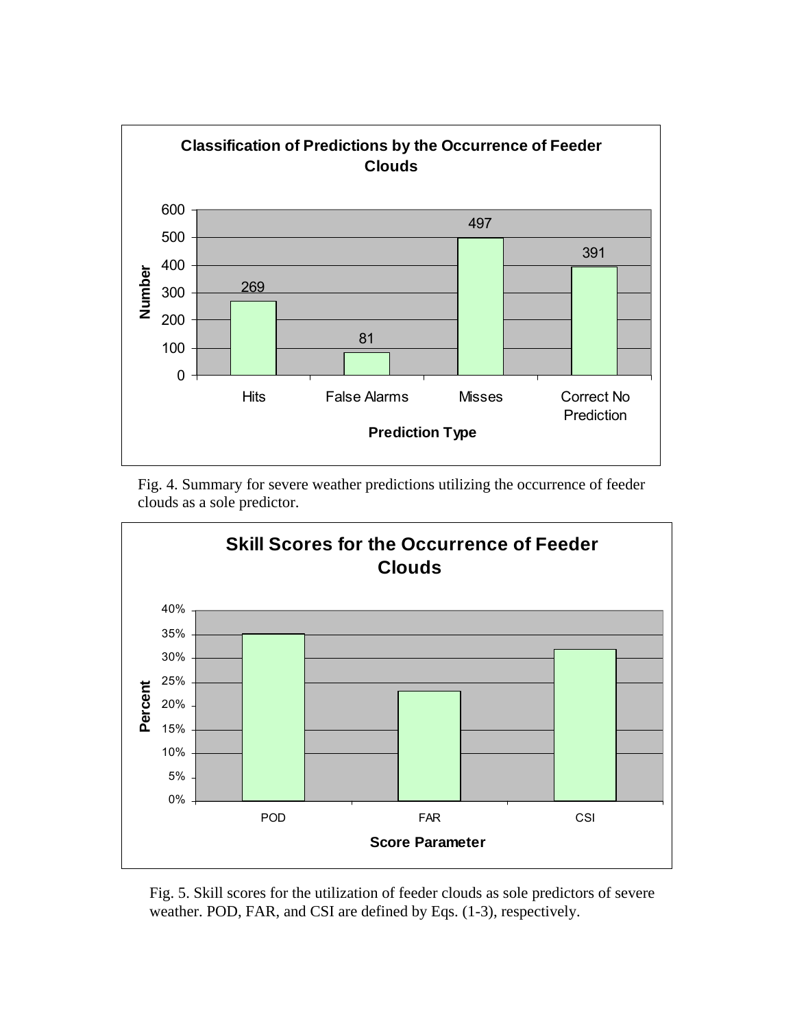

Fig. 4. Summary for severe weather predictions utilizing the occurrence of feeder clouds as a sole predictor.



Fig. 5. Skill scores for the utilization of feeder clouds as sole predictors of severe weather. POD, FAR, and CSI are defined by Eqs. (1-3), respectively.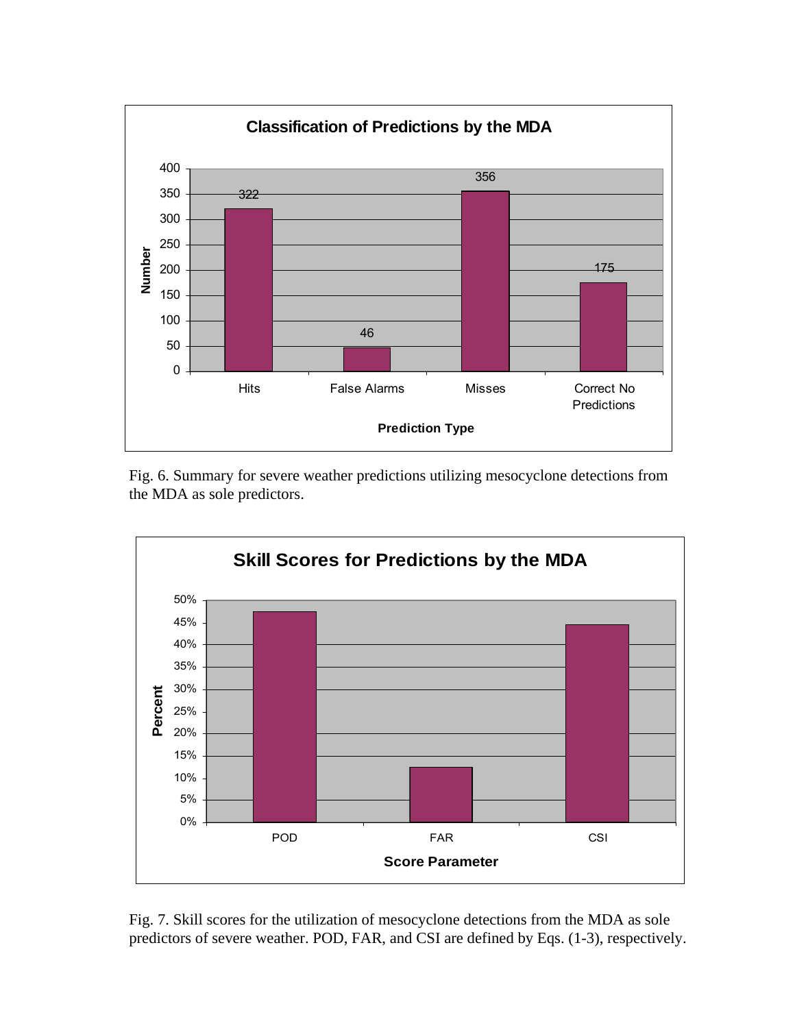

Fig. 6. Summary for severe weather predictions utilizing mesocyclone detections from the MDA as sole predictors.



Fig. 7. Skill scores for the utilization of mesocyclone detections from the MDA as sole predictors of severe weather. POD, FAR, and CSI are defined by Eqs. (1-3), respectively.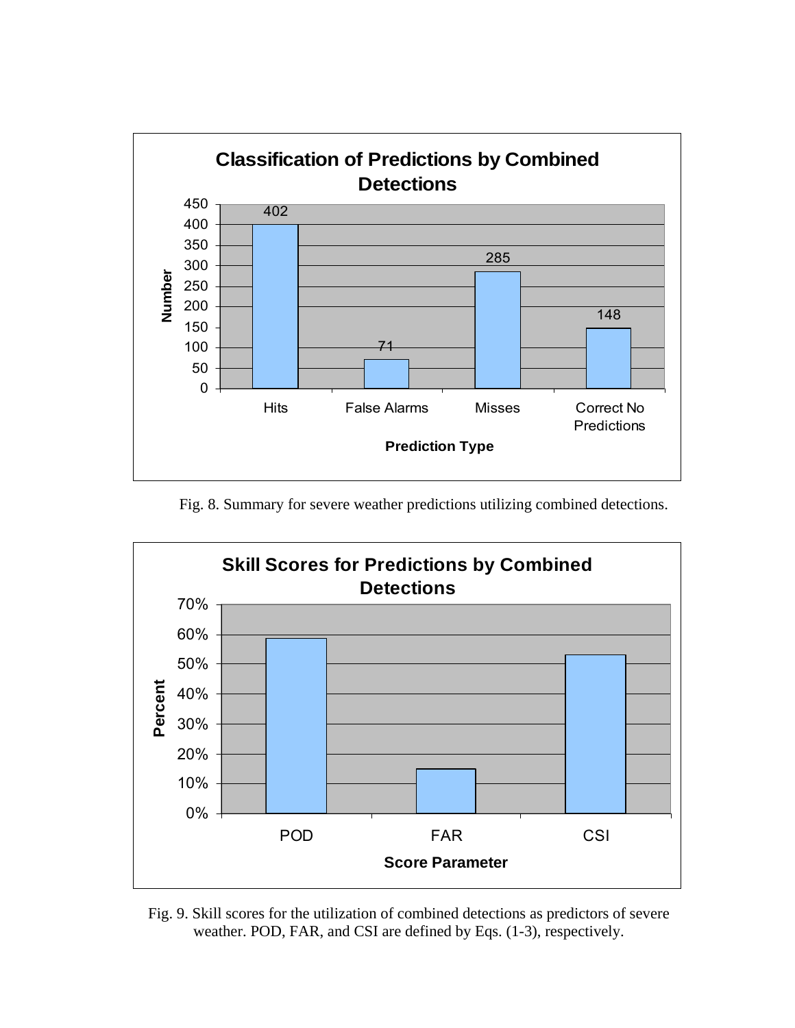

Fig. 8. Summary for severe weather predictions utilizing combined detections.



Fig. 9. Skill scores for the utilization of combined detections as predictors of severe weather. POD, FAR, and CSI are defined by Eqs. (1-3), respectively.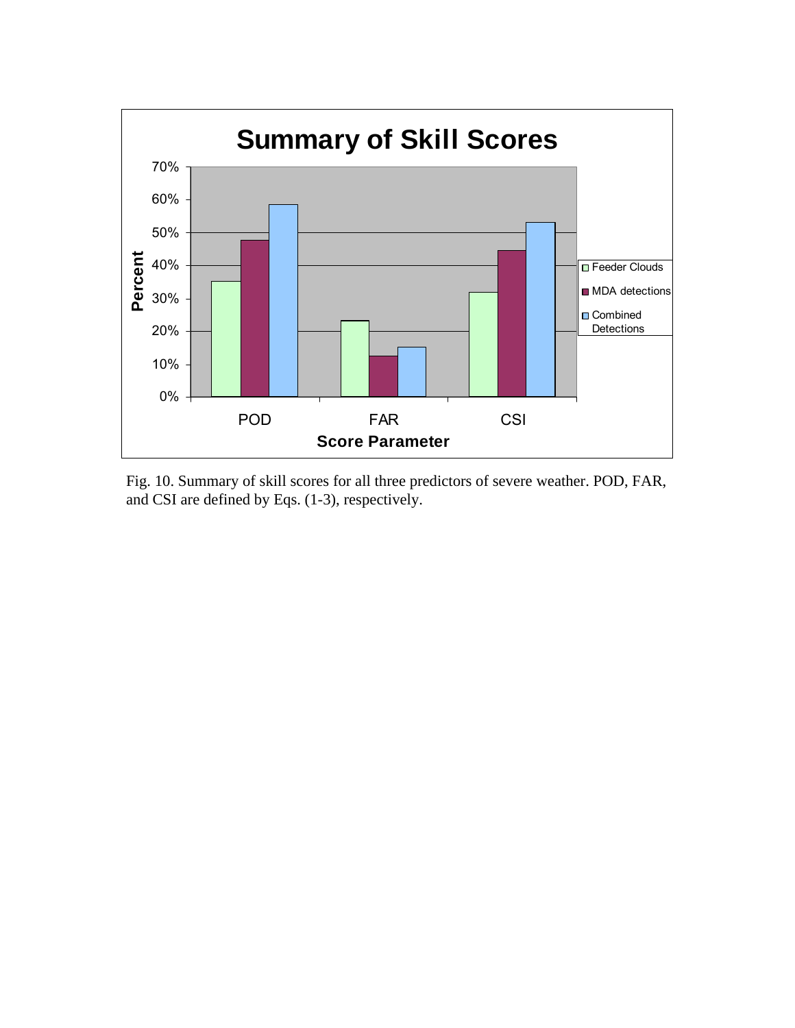

Fig. 10. Summary of skill scores for all three predictors of severe weather. POD, FAR, and CSI are defined by Eqs. (1-3), respectively.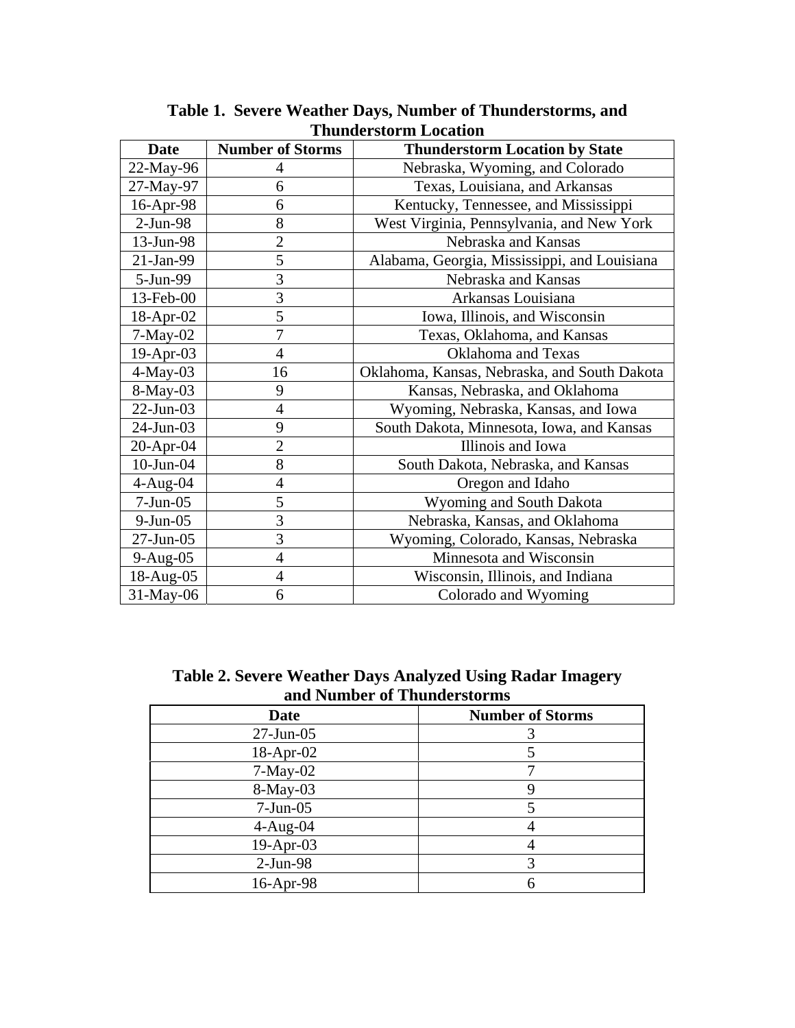| <b>Date</b>  | <b>Number of Storms</b> | <b>Thunderstorm Location by State</b>        |
|--------------|-------------------------|----------------------------------------------|
| 22-May-96    |                         | Nebraska, Wyoming, and Colorado              |
| 27-May-97    | 6                       | Texas, Louisiana, and Arkansas               |
| 16-Apr-98    | 6                       | Kentucky, Tennessee, and Mississippi         |
| $2-Jun-98$   | 8                       | West Virginia, Pennsylvania, and New York    |
| 13-Jun-98    | $\overline{2}$          | Nebraska and Kansas                          |
| 21-Jan-99    | 5                       | Alabama, Georgia, Mississippi, and Louisiana |
| 5-Jun-99     | 3                       | Nebraska and Kansas                          |
| 13-Feb-00    | 3                       | Arkansas Louisiana                           |
| 18-Apr-02    | 5                       | Iowa, Illinois, and Wisconsin                |
| $7-May-02$   | $\overline{7}$          | Texas, Oklahoma, and Kansas                  |
| 19-Apr-03    | $\overline{4}$          | Oklahoma and Texas                           |
| $4-May-03$   | 16                      | Oklahoma, Kansas, Nebraska, and South Dakota |
| 8-May-03     | 9                       | Kansas, Nebraska, and Oklahoma               |
| $22$ -Jun-03 | 4                       | Wyoming, Nebraska, Kansas, and Iowa          |
| 24-Jun-03    | 9                       | South Dakota, Minnesota, Iowa, and Kansas    |
| 20-Apr-04    | $\overline{2}$          | Illinois and Iowa                            |
| 10-Jun-04    | 8                       | South Dakota, Nebraska, and Kansas           |
| $4-Aug-04$   | 4                       | Oregon and Idaho                             |
| $7-Jun-05$   | 5                       | Wyoming and South Dakota                     |
| $9$ -Jun-05  | 3                       | Nebraska, Kansas, and Oklahoma               |
| $27$ -Jun-05 | 3                       | Wyoming, Colorado, Kansas, Nebraska          |
| $9-Aug-05$   | 4                       | Minnesota and Wisconsin                      |
| $18-Aug-05$  | 4                       | Wisconsin, Illinois, and Indiana             |
| 31-May-06    | 6                       | Colorado and Wyoming                         |

**Table 1. Severe Weather Days, Number of Thunderstorms, and Thunderstorm Location** 

**Table 2. Severe Weather Days Analyzed Using Radar Imagery and Number of Thunderstorms** 

| Date         | <b>Number of Storms</b> |  |  |  |  |
|--------------|-------------------------|--|--|--|--|
| $27$ -Jun-05 |                         |  |  |  |  |
| 18-Apr-02    |                         |  |  |  |  |
| $7-May-02$   |                         |  |  |  |  |
| 8-May-03     |                         |  |  |  |  |
| $7-Jun-05$   |                         |  |  |  |  |
| $4-Aug-04$   |                         |  |  |  |  |
| 19-Apr-03    |                         |  |  |  |  |
| $2-Jun-98$   | 3                       |  |  |  |  |
| 16-Apr-98    |                         |  |  |  |  |